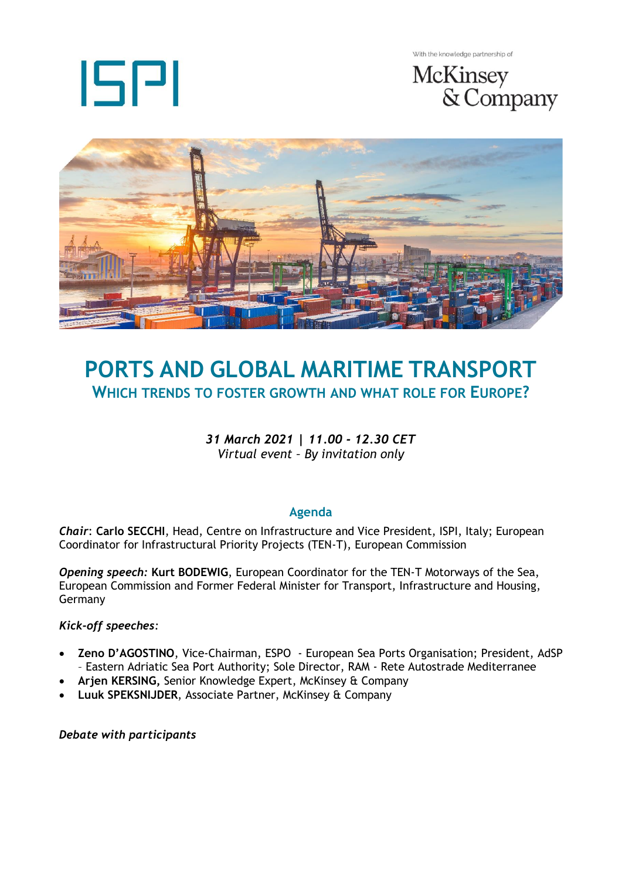

With the knowledge partnership of





# **PORTS AND GLOBAL MARITIME TRANSPORT WHICH TRENDS TO FOSTER GROWTH AND WHAT ROLE FOR EUROPE?**

## *31 March 2021 | 11.00 - 12.30 CET Virtual event – By invitation only*

## **Agenda**

*Chair*: **Carlo SECCHI**, Head, Centre on Infrastructure and Vice President, ISPI, Italy; European Coordinator for Infrastructural Priority Projects (TEN-T), European Commission

*Opening speech:* **Kurt BODEWIG**, European Coordinator for the TEN-T Motorways of the Sea, European Commission and Former Federal Minister for Transport, Infrastructure and Housing, Germany

### *Kick-off speeches:*

- **Zeno D'AGOSTINO**, Vice-Chairman, ESPO European Sea Ports Organisation; President, AdSP – Eastern Adriatic Sea Port Authority; Sole Director, RAM - Rete Autostrade Mediterranee
- **Arjen KERSING,** Senior Knowledge Expert, McKinsey & Company
- **Luuk SPEKSNIJDER**, Associate Partner, McKinsey & Company

*Debate with participants*